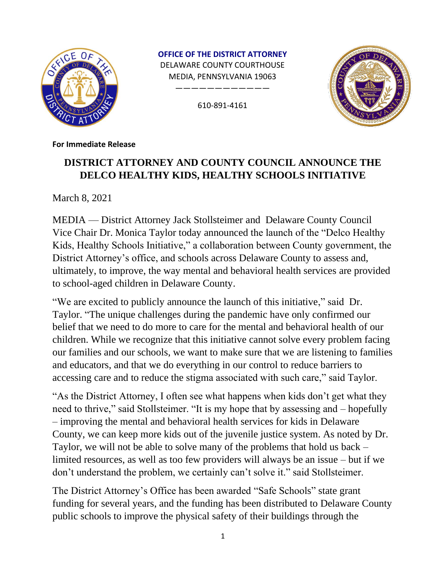

**OFFICE OF THE DISTRICT ATTORNEY** DELAWARE COUNTY COURTHOUSE MEDIA, PENNSYLVANIA 19063

610-891-4161

————————————



**For Immediate Release**

## **DISTRICT ATTORNEY AND COUNTY COUNCIL ANNOUNCE THE DELCO HEALTHY KIDS, HEALTHY SCHOOLS INITIATIVE**

March 8, 2021

MEDIA — District Attorney Jack Stollsteimer and Delaware County Council Vice Chair Dr. Monica Taylor today announced the launch of the "Delco Healthy Kids, Healthy Schools Initiative," a collaboration between County government, the District Attorney's office, and schools across Delaware County to assess and, ultimately, to improve, the way mental and behavioral health services are provided to school-aged children in Delaware County.

"We are excited to publicly announce the launch of this initiative," said Dr. Taylor. "The unique challenges during the pandemic have only confirmed our belief that we need to do more to care for the mental and behavioral health of our children. While we recognize that this initiative cannot solve every problem facing our families and our schools, we want to make sure that we are listening to families and educators, and that we do everything in our control to reduce barriers to accessing care and to reduce the stigma associated with such care," said Taylor.

"As the District Attorney, I often see what happens when kids don't get what they need to thrive," said Stollsteimer. "It is my hope that by assessing and – hopefully – improving the mental and behavioral health services for kids in Delaware County, we can keep more kids out of the juvenile justice system. As noted by Dr. Taylor, we will not be able to solve many of the problems that hold us back – limited resources, as well as too few providers will always be an issue – but if we don't understand the problem, we certainly can't solve it." said Stollsteimer.

The District Attorney's Office has been awarded "Safe Schools" state grant funding for several years, and the funding has been distributed to Delaware County public schools to improve the physical safety of their buildings through the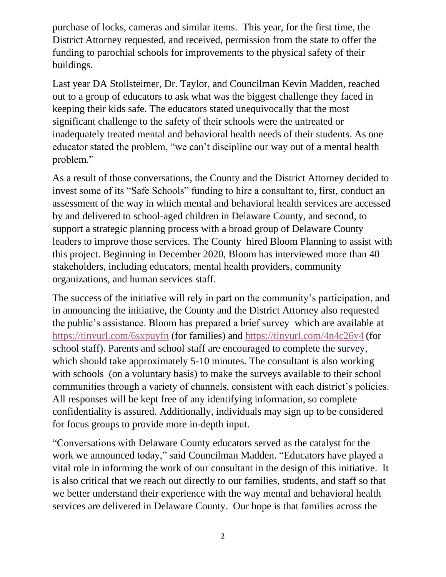purchase of locks, cameras and similar items. This year, for the first time, the District Attorney requested, and received, permission from the state to offer the funding to parochial schools for improvements to the physical safety of their buildings.

Last year DA Stollsteimer, Dr. Taylor, and Councilman Kevin Madden, reached out to a group of educators to ask what was the biggest challenge they faced in keeping their kids safe. The educators stated unequivocally that the most significant challenge to the safety of their schools were the untreated or inadequately treated mental and behavioral health needs of their students. As one educator stated the problem, "we can't discipline our way out of a mental health problem."

As a result of those conversations, the County and the District Attorney decided to invest some of its "Safe Schools" funding to hire a consultant to, first, conduct an assessment of the way in which mental and behavioral health services are accessed by and delivered to school-aged children in Delaware County, and second, to support a strategic planning process with a broad group of Delaware County leaders to improve those services. The County hired Bloom Planning to assist with this project. Beginning in December 2020, Bloom has interviewed more than 40 stakeholders, including educators, mental health providers, community organizations, and human services staff.

The success of the initiative will rely in part on the community's participation, and in announcing the initiative, the County and the District Attorney also requested the public's assistance. Bloom has prepared a brief survey which are available at <https://tinyurl.com/6sxpuyfn> (for families) and<https://tinyurl.com/4n4c26y4> (for school staff). Parents and school staff are encouraged to complete the survey, which should take approximately 5-10 minutes. The consultant is also working with schools (on a voluntary basis) to make the surveys available to their school communities through a variety of channels, consistent with each district's policies. All responses will be kept free of any identifying information, so complete confidentiality is assured. Additionally, individuals may sign up to be considered for focus groups to provide more in-depth input.

"Conversations with Delaware County educators served as the catalyst for the work we announced today," said Councilman Madden. "Educators have played a vital role in informing the work of our consultant in the design of this initiative. It is also critical that we reach out directly to our families, students, and staff so that we better understand their experience with the way mental and behavioral health services are delivered in Delaware County. Our hope is that families across the